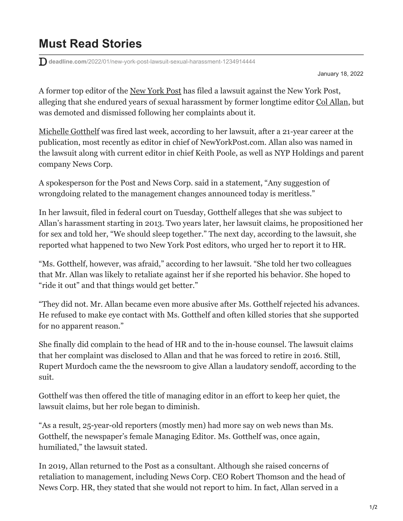## **Must Read Stories**

**deadline.com**[/2022/01/new-york-post-lawsuit-sexual-harassment-1234914444](https://deadline.com/2022/01/new-york-post-lawsuit-sexual-harassment-1234914444/)

January 18, 2022

A former top editor of the [New York Post](https://deadline.com/tag/new-york-post/) has filed a lawsuit against the New York Post, alleging that she endured years of sexual harassment by former longtime editor [Col Allan](https://deadline.com/tag/col-allan/), but was demoted and dismissed following her complaints about it.

[Michelle Gotthelf](https://deadline.com/tag/michelle-gotthelf/) was fired last week, according to her lawsuit, after a 21-year career at the publication, most recently as editor in chief of NewYorkPost.com. Allan also was named in the lawsuit along with current editor in chief Keith Poole, as well as NYP Holdings and parent company News Corp.

A spokesperson for the Post and News Corp. said in a statement, "Any suggestion of wrongdoing related to the management changes announced today is meritless."

In her lawsuit, filed in federal court on Tuesday, Gotthelf alleges that she was subject to Allan's harassment starting in 2013. Two years later, her lawsuit claims, he propositioned her for sex and told her, "We should sleep together." The next day, according to the lawsuit, she reported what happened to two New York Post editors, who urged her to report it to HR.

"Ms. Gotthelf, however, was afraid," according to her lawsuit. "She told her two colleagues that Mr. Allan was likely to retaliate against her if she reported his behavior. She hoped to "ride it out" and that things would get better."

"They did not. Mr. Allan became even more abusive after Ms. Gotthelf rejected his advances. He refused to make eye contact with Ms. Gotthelf and often killed stories that she supported for no apparent reason."

She finally did complain to the head of HR and to the in-house counsel. The lawsuit claims that her complaint was disclosed to Allan and that he was forced to retire in 2016. Still, Rupert Murdoch came the the newsroom to give Allan a laudatory sendoff, according to the suit.

Gotthelf was then offered the title of managing editor in an effort to keep her quiet, the lawsuit claims, but her role began to diminish.

"As a result, 25-year-old reporters (mostly men) had more say on web news than Ms. Gotthelf, the newspaper's female Managing Editor. Ms. Gotthelf was, once again, humiliated," the lawsuit stated.

In 2019, Allan returned to the Post as a consultant. Although she raised concerns of retaliation to management, including News Corp. CEO Robert Thomson and the head of News Corp. HR, they stated that she would not report to him. In fact, Allan served in a